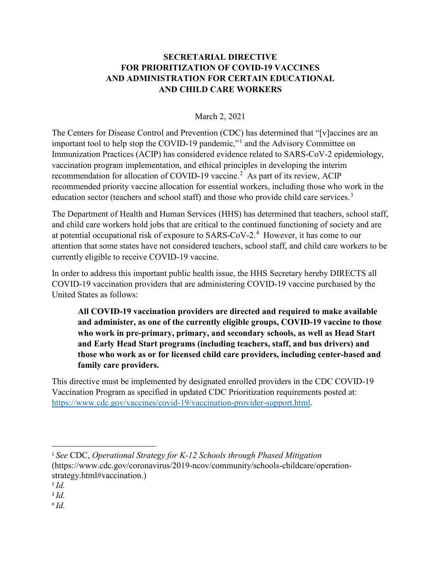## **SECRETARIAL DIRECTIVE FOR PRIORITIZATION OF COVID-19 VACCINES AND ADMINISTRATION FOR CERTAIN EDUCATIONAL AND CHILD CARE WORKERS**

## March 2, 2021

The Centers for Disease Control and Prevention (CDC) has determined that "[v]accines are an important tool to help stop the COVID-19 pandemic,"[1](#page-0-0) and the Advisory Committee on Immunization Practices (ACIP) has considered evidence related to SARS-CoV-2 epidemiology, vaccination program implementation, and ethical principles in developing the interim recommendation for allocation of COVID-19 vaccine.<sup>[2](#page-0-1)</sup> As part of its review, ACIP recommended priority vaccine allocation for essential workers, including those who work in the education sector (teachers and school staff) and those who provide child care services.<sup>[3](#page-0-2)</sup>

The Department of Health and Human Services (HHS) has determined that teachers, school staff, and child care workers hold jobs that are critical to the continued functioning of society and are at potential occupational risk of exposure to SARS-CoV-2. [4](#page-0-3) However, it has come to our attention that some states have not considered teachers, school staff, and child care workers to be currently eligible to receive COVID-19 vaccine.

In order to address this important public health issue, the HHS Secretary hereby DIRECTS all COVID-19 vaccination providers that are administering COVID-19 vaccine purchased by the United States as follows:

**All COVID-19 vaccination providers are directed and required to make available and administer, as one of the currently eligible groups, COVID-19 vaccine to those who work in pre-primary, primary, and secondary schools, as well as Head Start and Early Head Start programs (including teachers, staff, and bus drivers) and those who work as or for licensed child care providers, including center-based and family care providers.** 

This directive must be implemented by designated enrolled providers in the CDC COVID-19 Vaccination Program as specified in updated CDC Prioritization requirements posted at: [https://www.cdc.gov/vaccines/covid-19/vaccination-provider-support.html.](https://www.cdc.gov/vaccines/covid-19/vaccination-provider-support.html)

<span id="page-0-3"></span> $4$   $Id$ .

<span id="page-0-0"></span> <sup>1</sup> *See* CDC, *Operational Strategy for K-12 Schools through Phased Mitigation* (https://www.cdc.gov/coronavirus/2019-ncov/community/schools-childcare/operationstrategy.html#vaccination.)

<span id="page-0-1"></span><sup>2</sup> *Id.*

<span id="page-0-2"></span><sup>3</sup> *Id.*